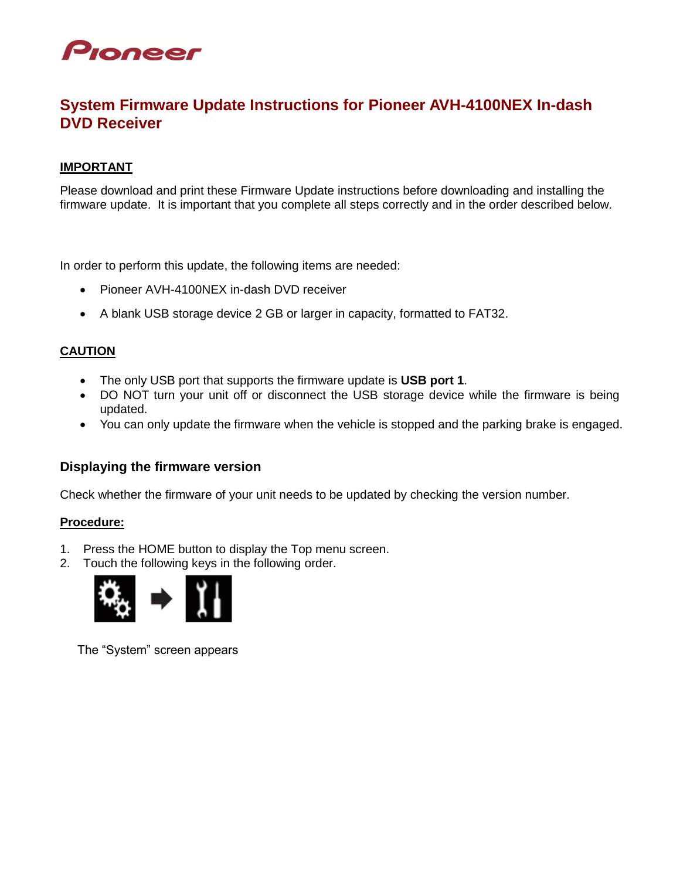

## **System Firmware Update Instructions for Pioneer AVH-4100NEX In-dash DVD Receiver**

#### **IMPORTANT**

Please download and print these Firmware Update instructions before downloading and installing the firmware update. It is important that you complete all steps correctly and in the order described below.

In order to perform this update, the following items are needed:

- Pioneer AVH-4100NEX in-dash DVD receiver
- A blank USB storage device 2 GB or larger in capacity, formatted to FAT32.

#### **CAUTION**

- The only USB port that supports the firmware update is **USB port 1**.
- DO NOT turn your unit off or disconnect the USB storage device while the firmware is being updated.
- You can only update the firmware when the vehicle is stopped and the parking brake is engaged.

#### **Displaying the firmware version**

Check whether the firmware of your unit needs to be updated by checking the version number.

#### **Procedure:**

- 1. Press the HOME button to display the Top menu screen.
- 2. Touch the following keys in the following order.



The "System" screen appears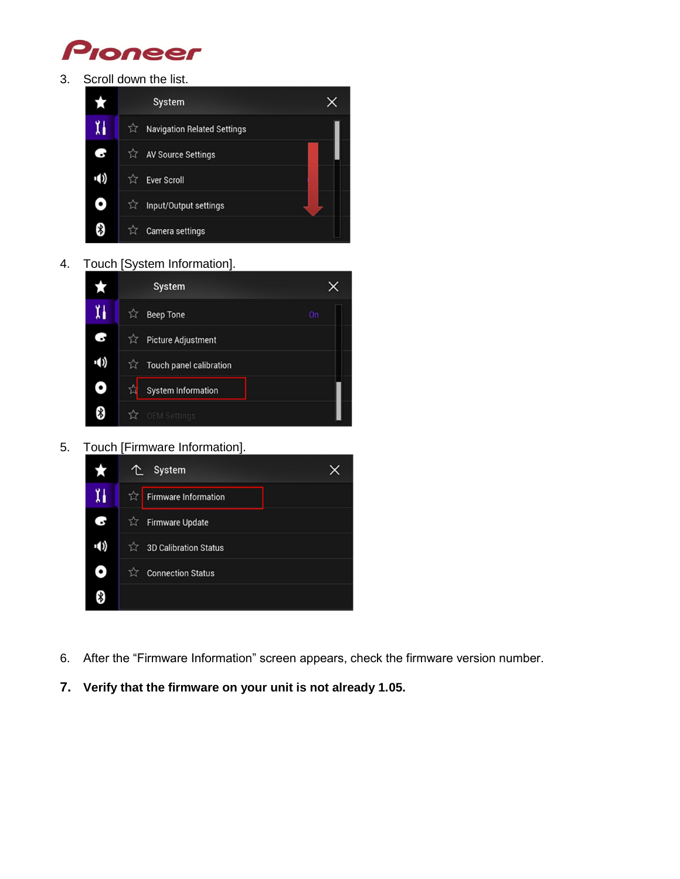

3. Scroll down the list.



4. Touch [System Information].



5. Touch [Firmware Information].



- 6. After the "Firmware Information" screen appears, check the firmware version number.
- **7. Verify that the firmware on your unit is not already 1.05.**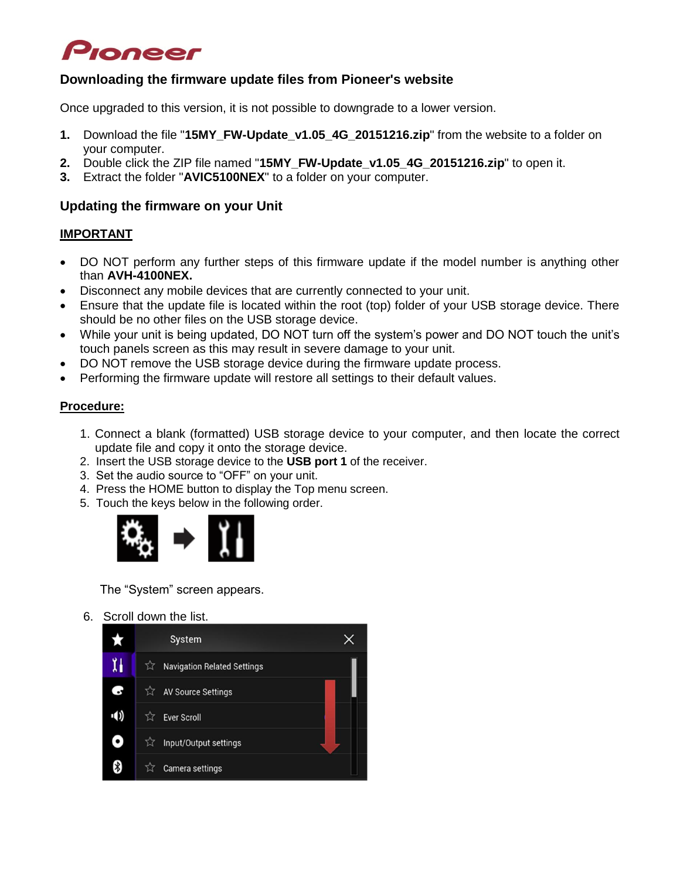# Pioneer

## **Downloading the firmware update files from Pioneer's website**

Once upgraded to this version, it is not possible to downgrade to a lower version.

- **1.** Download the file "15MY\_FW-Update\_v1.05\_4G\_20151216.zip" from the website to a folder on your computer.
- **2.** Double click the ZIP file named "**15MY\_FW-Update\_v1.05\_4G\_20151216.zip**" to open it.
- **3.** Extract the folder "**AVIC5100NEX**" to a folder on your computer.

## **Updating the firmware on your Unit**

#### **IMPORTANT**

- DO NOT perform any further steps of this firmware update if the model number is anything other than **AVH-4100NEX.**
- Disconnect any mobile devices that are currently connected to your unit.
- Ensure that the update file is located within the root (top) folder of your USB storage device. There should be no other files on the USB storage device.
- While your unit is being updated, DO NOT turn off the system's power and DO NOT touch the unit's touch panels screen as this may result in severe damage to your unit.
- DO NOT remove the USB storage device during the firmware update process.
- Performing the firmware update will restore all settings to their default values.

#### **Procedure:**

- 1. Connect a blank (formatted) USB storage device to your computer, and then locate the correct update file and copy it onto the storage device.
- 2. Insert the USB storage device to the **USB port 1** of the receiver.
- 3. Set the audio source to "OFF" on your unit.
- 4. Press the HOME button to display the Top menu screen.
- 5. Touch the keys below in the following order.



The "System" screen appears.

6. Scroll down the list.

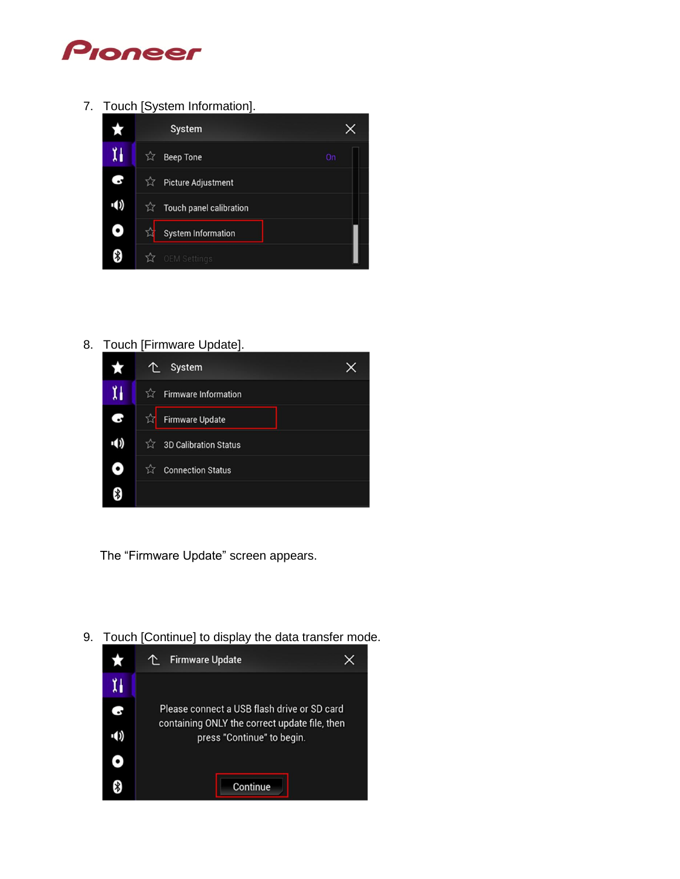

7. Touch [System Information].



8. Touch [Firmware Update].



The "Firmware Update" screen appears.

9. Touch [Continue] to display the data transfer mode.

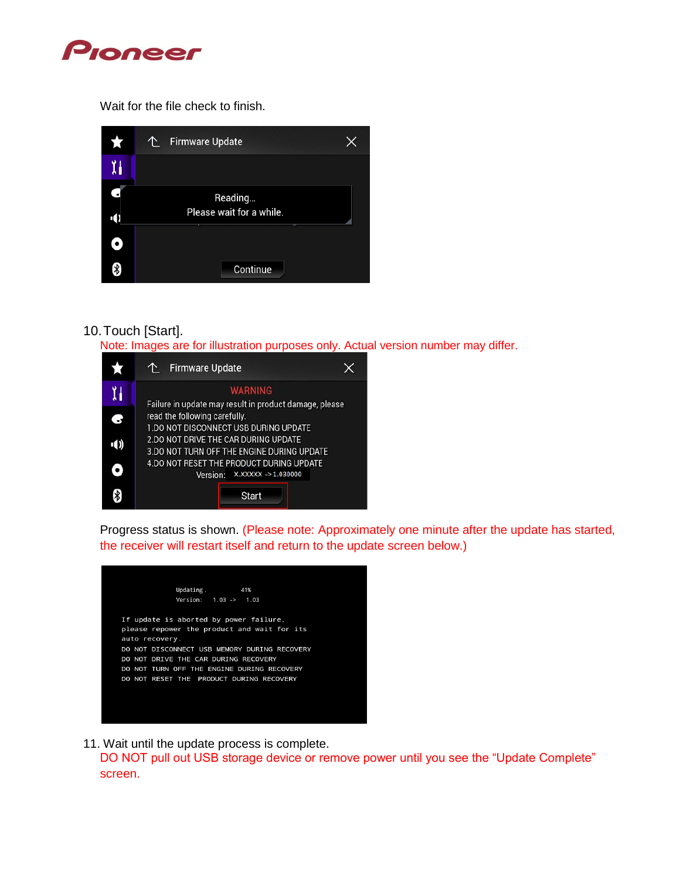

Wait for the file check to finish.



## 10.Touch [Start].

Note: Images are for illustration purposes only. Actual version number may differ.



Progress status is shown. (Please note: Approximately one minute after the update has started, the receiver will restart itself and return to the update screen below.)



11. Wait until the update process is complete.

DO NOT pull out USB storage device or remove power until you see the "Update Complete" screen.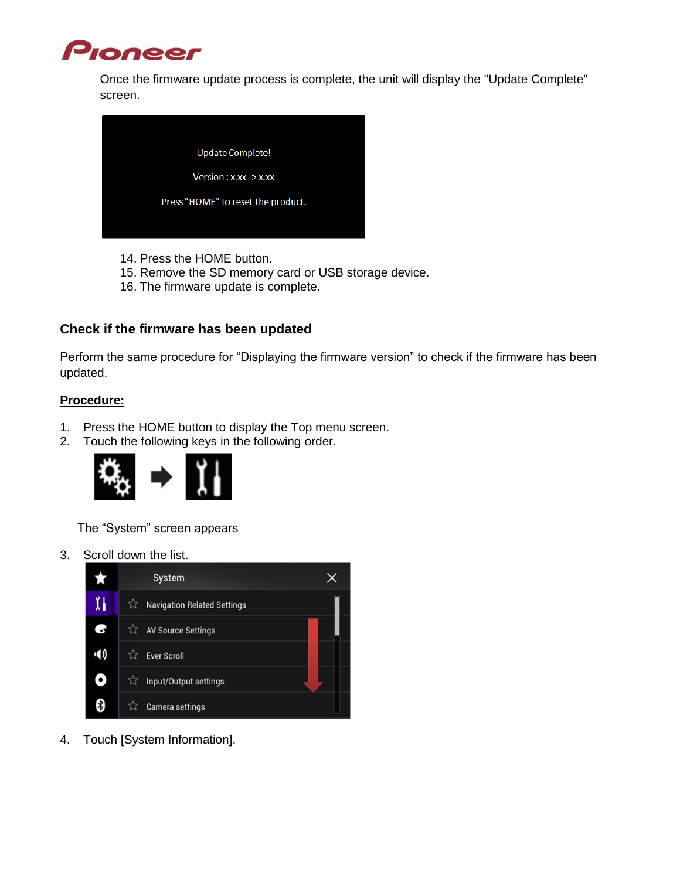

Once the firmware update process is complete, the unit will display the "Update Complete" screen.



- 14. Press the HOME button.
- 15. Remove the SD memory card or USB storage device.
- 16. The firmware update is complete.

## **Check if the firmware has been updated**

Perform the same procedure for "Displaying the firmware version" to check if the firmware has been updated.

#### **Procedure:**

- 1. Press the HOME button to display the Top menu screen.
- 2. Touch the following keys in the following order.



The "System" screen appears

3. Scroll down the list.



4. Touch [System Information].